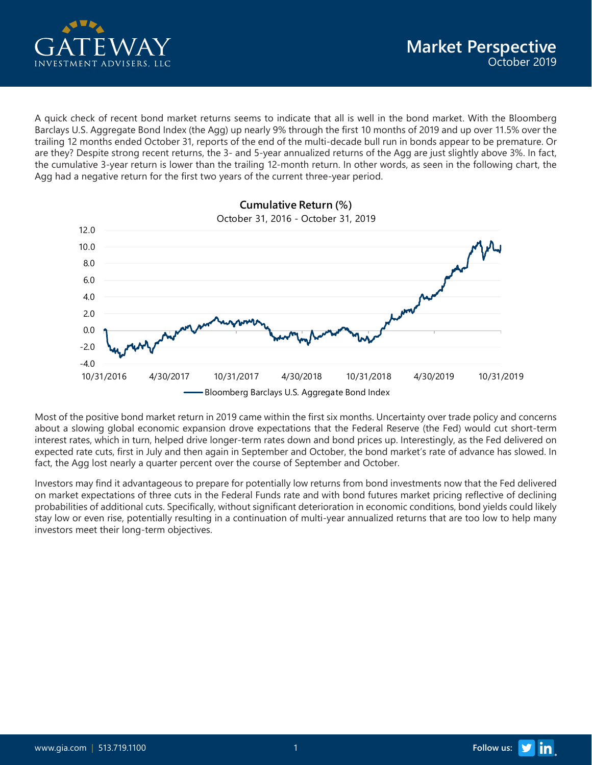

A quick check of recent bond market returns seems to indicate that all is well in the bond market. With the Bloomberg Barclays U.S. Aggregate Bond Index (the Agg) up nearly 9% through the first 10 months of 2019 and up over 11.5% over the trailing 12 months ended October 31, reports of the end of the multi-decade bull run in bonds appear to be premature. Or are they? Despite strong recent returns, the 3- and 5-year annualized returns of the Agg are just slightly above 3%. In fact, the cumulative 3-year return is lower than the trailing 12-month return. In other words, as seen in the following chart, the Agg had a negative return for the first two years of the current three-year period.



Most of the positive bond market return in 2019 came within the first six months. Uncertainty over trade policy and concerns about a slowing global economic expansion drove expectations that the Federal Reserve (the Fed) would cut short-term interest rates, which in turn, helped drive longer-term rates down and bond prices up. Interestingly, as the Fed delivered on expected rate cuts, first in July and then again in September and October, the bond market's rate of advance has slowed. In fact, the Agg lost nearly a quarter percent over the course of September and October.

Investors may find it advantageous to prepare for potentially low returns from bond investments now that the Fed delivered on market expectations of three cuts in the Federal Funds rate and with bond futures market pricing reflective of declining probabilities of additional cuts. Specifically, without significant deterioration in economic conditions, bond yields could likely stay low or even rise, potentially resulting in a continuation of multi-year annualized returns that are too low to help many investors meet their long-term objectives.